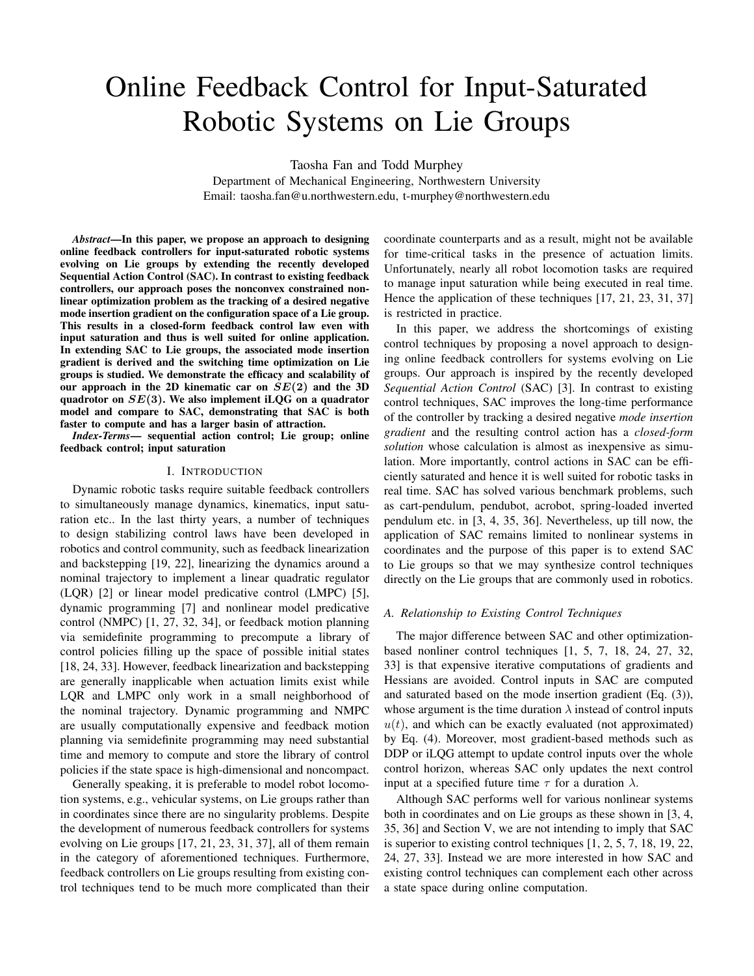# Online Feedback Control for Input-Saturated Robotic Systems on Lie Groups

Taosha Fan and Todd Murphey

Department of Mechanical Engineering, Northwestern University Email: taosha.fan@u.northwestern.edu, t-murphey@northwestern.edu

*Abstract*—In this paper, we propose an approach to designing online feedback controllers for input-saturated robotic systems evolving on Lie groups by extending the recently developed Sequential Action Control (SAC). In contrast to existing feedback controllers, our approach poses the nonconvex constrained nonlinear optimization problem as the tracking of a desired negative mode insertion gradient on the configuration space of a Lie group. This results in a closed-form feedback control law even with input saturation and thus is well suited for online application. In extending SAC to Lie groups, the associated mode insertion gradient is derived and the switching time optimization on Lie groups is studied. We demonstrate the efficacy and scalability of our approach in the 2D kinematic car on  $SE(2)$  and the 3D quadrotor on  $SE(3)$ . We also implement iLQG on a quadrator model and compare to SAC, demonstrating that SAC is both faster to compute and has a larger basin of attraction.

*Index-Terms*— sequential action control; Lie group; online feedback control; input saturation

#### I. INTRODUCTION

Dynamic robotic tasks require suitable feedback controllers to simultaneously manage dynamics, kinematics, input saturation etc.. In the last thirty years, a number of techniques to design stabilizing control laws have been developed in robotics and control community, such as feedback linearization and backstepping [19, 22], linearizing the dynamics around a nominal trajectory to implement a linear quadratic regulator (LQR) [2] or linear model predicative control (LMPC) [5], dynamic programming [7] and nonlinear model predicative control (NMPC) [1, 27, 32, 34], or feedback motion planning via semidefinite programming to precompute a library of control policies filling up the space of possible initial states [18, 24, 33]. However, feedback linearization and backstepping are generally inapplicable when actuation limits exist while LQR and LMPC only work in a small neighborhood of the nominal trajectory. Dynamic programming and NMPC are usually computationally expensive and feedback motion planning via semidefinite programming may need substantial time and memory to compute and store the library of control policies if the state space is high-dimensional and noncompact.

Generally speaking, it is preferable to model robot locomotion systems, e.g., vehicular systems, on Lie groups rather than in coordinates since there are no singularity problems. Despite the development of numerous feedback controllers for systems evolving on Lie groups [17, 21, 23, 31, 37], all of them remain in the category of aforementioned techniques. Furthermore, feedback controllers on Lie groups resulting from existing control techniques tend to be much more complicated than their coordinate counterparts and as a result, might not be available for time-critical tasks in the presence of actuation limits. Unfortunately, nearly all robot locomotion tasks are required to manage input saturation while being executed in real time. Hence the application of these techniques [17, 21, 23, 31, 37] is restricted in practice.

In this paper, we address the shortcomings of existing control techniques by proposing a novel approach to designing online feedback controllers for systems evolving on Lie groups. Our approach is inspired by the recently developed *Sequential Action Control* (SAC) [3]. In contrast to existing control techniques, SAC improves the long-time performance of the controller by tracking a desired negative *mode insertion gradient* and the resulting control action has a *closed-form solution* whose calculation is almost as inexpensive as simulation. More importantly, control actions in SAC can be efficiently saturated and hence it is well suited for robotic tasks in real time. SAC has solved various benchmark problems, such as cart-pendulum, pendubot, acrobot, spring-loaded inverted pendulum etc. in [3, 4, 35, 36]. Nevertheless, up till now, the application of SAC remains limited to nonlinear systems in coordinates and the purpose of this paper is to extend SAC to Lie groups so that we may synthesize control techniques directly on the Lie groups that are commonly used in robotics.

## *A. Relationship to Existing Control Techniques*

The major difference between SAC and other optimizationbased nonliner control techniques [1, 5, 7, 18, 24, 27, 32, 33] is that expensive iterative computations of gradients and Hessians are avoided. Control inputs in SAC are computed and saturated based on the mode insertion gradient (Eq. (3)), whose argument is the time duration  $\lambda$  instead of control inputs  $u(t)$ , and which can be exactly evaluated (not approximated) by Eq. (4). Moreover, most gradient-based methods such as DDP or iLQG attempt to update control inputs over the whole control horizon, whereas SAC only updates the next control input at a specified future time  $\tau$  for a duration  $\lambda$ .

Although SAC performs well for various nonlinear systems both in coordinates and on Lie groups as these shown in [3, 4, 35, 36] and Section V, we are not intending to imply that SAC is superior to existing control techniques [1, 2, 5, 7, 18, 19, 22, 24, 27, 33]. Instead we are more interested in how SAC and existing control techniques can complement each other across a state space during online computation.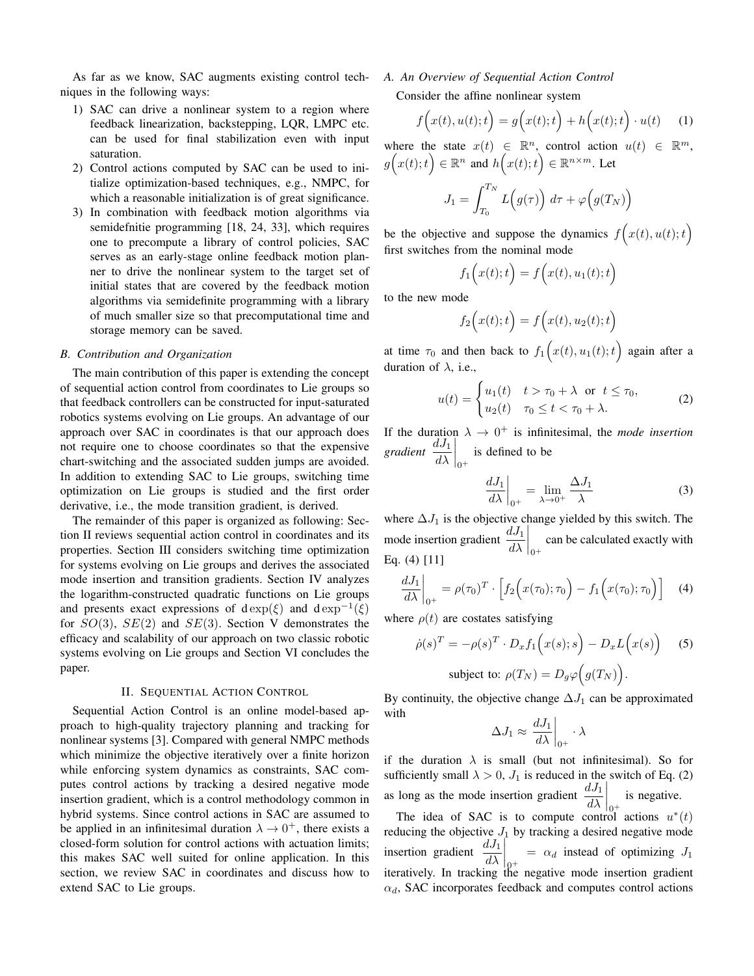As far as we know, SAC augments existing control techniques in the following ways:

- 1) SAC can drive a nonlinear system to a region where feedback linearization, backstepping, LQR, LMPC etc. can be used for final stabilization even with input saturation.
- 2) Control actions computed by SAC can be used to initialize optimization-based techniques, e.g., NMPC, for which a reasonable initialization is of great significance.
- 3) In combination with feedback motion algorithms via semidefnitie programming [18, 24, 33], which requires one to precompute a library of control policies, SAC serves as an early-stage online feedback motion planner to drive the nonlinear system to the target set of initial states that are covered by the feedback motion algorithms via semidefinite programming with a library of much smaller size so that precomputational time and storage memory can be saved.

## *B. Contribution and Organization*

The main contribution of this paper is extending the concept of sequential action control from coordinates to Lie groups so that feedback controllers can be constructed for input-saturated robotics systems evolving on Lie groups. An advantage of our approach over SAC in coordinates is that our approach does not require one to choose coordinates so that the expensive chart-switching and the associated sudden jumps are avoided. In addition to extending SAC to Lie groups, switching time optimization on Lie groups is studied and the first order derivative, i.e., the mode transition gradient, is derived.

The remainder of this paper is organized as following: Section II reviews sequential action control in coordinates and its properties. Section III considers switching time optimization for systems evolving on Lie groups and derives the associated mode insertion and transition gradients. Section IV analyzes the logarithm-constructed quadratic functions on Lie groups and presents exact expressions of d exp $(\xi)$  and d exp<sup>-1</sup>( $\xi$ ) for  $SO(3)$ ,  $SE(2)$  and  $SE(3)$ . Section V demonstrates the efficacy and scalability of our approach on two classic robotic systems evolving on Lie groups and Section VI concludes the paper.

#### II. SEQUENTIAL ACTION CONTROL

Sequential Action Control is an online model-based approach to high-quality trajectory planning and tracking for nonlinear systems [3]. Compared with general NMPC methods which minimize the objective iteratively over a finite horizon while enforcing system dynamics as constraints, SAC computes control actions by tracking a desired negative mode insertion gradient, which is a control methodology common in hybrid systems. Since control actions in SAC are assumed to be applied in an infinitesimal duration  $\lambda \rightarrow 0^+$ , there exists a closed-form solution for control actions with actuation limits; this makes SAC well suited for online application. In this section, we review SAC in coordinates and discuss how to extend SAC to Lie groups.

# *A. An Overview of Sequential Action Control* Consider the affine nonlinear system

$$
f(x(t), u(t); t) = g(x(t); t) + h(x(t); t) \cdot u(t)
$$
 (1)

where the state  $x(t) \in \mathbb{R}^n$ , control action  $u(t) \in \mathbb{R}^m$ ,  $g(x(t);t) \in \mathbb{R}^n$  and  $h(x(t);t) \in \mathbb{R}^{n \times m}$ . Let

$$
J_1 = \int_{T_0}^{T_N} L\Big(g(\tau)\Big) d\tau + \varphi\Big(g(T_N)\Big)
$$

be the objective and suppose the dynamics  $f(x(t), u(t); t)$ first switches from the nominal mode

$$
f_1(x(t);t) = f(x(t), u_1(t);t)
$$

to the new mode

$$
f_2(x(t);t) = f(x(t), u_2(t);t)
$$

at time  $\tau_0$  and then back to  $f_1(x(t), u_1(t); t)$  again after a duration of  $\lambda$ , i.e.,

$$
u(t) = \begin{cases} u_1(t) & t > \tau_0 + \lambda \quad \text{or} \quad t \le \tau_0, \\ u_2(t) & \tau_0 \le t < \tau_0 + \lambda. \end{cases} \tag{2}
$$

If the duration  $\lambda \to 0^+$  is infinitesimal, the *mode insertion*  $\frac{dJ_1}{d\lambda}$  $\bigg|_{0^+}$ is defined to be

$$
\left. \frac{dJ_1}{d\lambda} \right|_{0^+} = \lim_{\lambda \to 0^+} \frac{\Delta J_1}{\lambda} \tag{3}
$$

where  $\Delta J_1$  is the objective change yielded by this switch. The mode insertion gradient  $\frac{dJ_1}{d\lambda}$  $\Big|_{0^+}$ can be calculated exactly with Eq. (4) [11]

$$
\left. \frac{dJ_1}{d\lambda} \right|_{0^+} = \rho(\tau_0)^T \cdot \left[ f_2\Big(x(\tau_0); \tau_0\Big) - f_1\Big(x(\tau_0); \tau_0\Big) \right] \tag{4}
$$

where  $\rho(t)$  are costates satisfying

$$
\dot{\rho}(s)^T = -\rho(s)^T \cdot D_x f_1(x(s); s) - D_x L(x(s)) \quad (5)
$$
  
subject to: 
$$
\rho(T_N) = D_g \varphi(g(T_N)).
$$

By continuity, the objective change  $\Delta J_1$  can be approximated with

$$
\Delta J_1 \approx \left. \frac{dJ_1}{d\lambda} \right|_{0^+} \cdot \lambda
$$

if the duration  $\lambda$  is small (but not infinitesimal). So for sufficiently small  $\lambda > 0$ ,  $J_1$  is reduced in the switch of Eq. (2) as long as the mode insertion gradient  $\frac{dJ_1}{d\lambda}$  $\Big|_{0^+}$ is negative. The idea of SAC is to compute control actions  $u^*(t)$ 

reducing the objective  $J_1$  by tracking a desired negative mode insertion gradient  $\frac{dJ_1}{d\lambda}$  $\Big|_{\Omega^+}$  $= \alpha_d$  instead of optimizing  $J_1$ iteratively. In tracking the negative mode insertion gradient  $\alpha_d$ , SAC incorporates feedback and computes control actions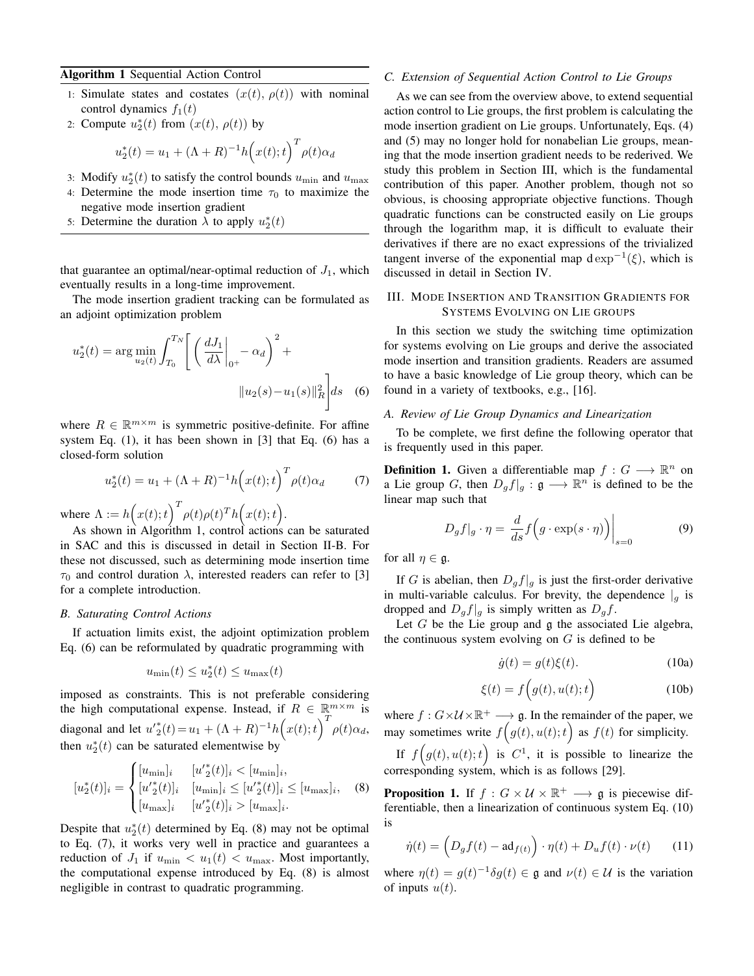## Algorithm 1 Sequential Action Control

- 1: Simulate states and costates  $(x(t), \rho(t))$  with nominal control dynamics  $f_1(t)$
- 2: Compute  $u_2^*(t)$  from  $(x(t), \rho(t))$  by

$$
u_2^*(t) = u_1 + (\Lambda + R)^{-1} h(x(t); t)^T \rho(t) \alpha_d
$$

- 3: Modify  $u_2^*(t)$  to satisfy the control bounds  $u_{\text{min}}$  and  $u_{\text{max}}$
- 4: Determine the mode insertion time  $\tau_0$  to maximize the negative mode insertion gradient
- 5: Determine the duration  $\lambda$  to apply  $u_2^*(t)$

that guarantee an optimal/near-optimal reduction of  $J_1$ , which eventually results in a long-time improvement.

The mode insertion gradient tracking can be formulated as an adjoint optimization problem

$$
u_2^*(t) = \arg\min_{u_2(t)} \int_{T_0}^{T_N} \left[ \left( \left. \frac{dJ_1}{d\lambda} \right|_{0^+} - \alpha_d \right)^2 + \left| u_2(s) - u_1(s) \right|_R^2 \right] ds \quad (6)
$$

where  $R \in \mathbb{R}^{m \times m}$  is symmetric positive-definite. For affine system Eq. (1), it has been shown in [3] that Eq. (6) has a closed-form solution

$$
u_2^*(t) = u_1 + (\Lambda + R)^{-1} h(x(t); t)^T \rho(t) \alpha_d \tag{7}
$$

where  $\Lambda := h(x(t);t)^T \rho(t) \rho(t)^T h(x(t);t)$ .

As shown in Algorithm 1, control actions can be saturated in SAC and this is discussed in detail in Section II-B. For these not discussed, such as determining mode insertion time  $\tau_0$  and control duration  $\lambda$ , interested readers can refer to [3] for a complete introduction.

## *B. Saturating Control Actions*

If actuation limits exist, the adjoint optimization problem Eq. (6) can be reformulated by quadratic programming with

$$
u_{\min}(t) \le u_2^*(t) \le u_{\max}(t)
$$

imposed as constraints. This is not preferable considering the high computational expense. Instead, if  $R \in \mathbb{R}^{m \times m}$  is diagonal and let  $u'_{2}(t) = u_{1} + (\Lambda + R)^{-1} h(x(t);t)^{T} \rho(t) \alpha_{d}$ , then  $u_2^*(t)$  can be saturated elementwise by

$$
[u_2^*(t)]_i = \begin{cases} [u_{\min}]_i & [u_2^*(t)]_i < [u_{\min}]_i, \\ [u_2^*(t)]_i & [u_{\min}]_i \le [u_2^*(t)]_i \le [u_{\max}]_i, \\ [u_{\max}]_i & [u_2^*(t)]_i > [u_{\max}]_i. \end{cases}
$$
(8)

Despite that  $u_2^*(t)$  determined by Eq. (8) may not be optimal to Eq. (7), it works very well in practice and guarantees a reduction of  $J_1$  if  $u_{\min} < u_1(t) < u_{\max}$ . Most importantly, the computational expense introduced by Eq. (8) is almost negligible in contrast to quadratic programming.

### *C. Extension of Sequential Action Control to Lie Groups*

As we can see from the overview above, to extend sequential action control to Lie groups, the first problem is calculating the mode insertion gradient on Lie groups. Unfortunately, Eqs. (4) and (5) may no longer hold for nonabelian Lie groups, meaning that the mode insertion gradient needs to be rederived. We study this problem in Section III, which is the fundamental contribution of this paper. Another problem, though not so obvious, is choosing appropriate objective functions. Though quadratic functions can be constructed easily on Lie groups through the logarithm map, it is difficult to evaluate their derivatives if there are no exact expressions of the trivialized tangent inverse of the exponential map  $d \exp^{-1}(\xi)$ , which is discussed in detail in Section IV.

## III. MODE INSERTION AND TRANSITION GRADIENTS FOR SYSTEMS EVOLVING ON LIE GROUPS

In this section we study the switching time optimization for systems evolving on Lie groups and derive the associated mode insertion and transition gradients. Readers are assumed to have a basic knowledge of Lie group theory, which can be found in a variety of textbooks, e.g., [16].

## *A. Review of Lie Group Dynamics and Linearization*

To be complete, we first define the following operator that is frequently used in this paper.

**Definition 1.** Given a differentiable map  $f: G \longrightarrow \mathbb{R}^n$  on a Lie group G, then  $D_g f|_g : \mathfrak{g} \longrightarrow \mathbb{R}^n$  is defined to be the linear map such that

$$
D_g f|_g \cdot \eta = \left. \frac{d}{ds} f\Big(g \cdot \exp(s \cdot \eta)\Big)\right|_{s=0} \tag{9}
$$

for all  $\eta \in \mathfrak{g}$ .

If G is abelian, then  $D_q f|_q$  is just the first-order derivative in multi-variable calculus. For brevity, the dependence  $|g|$  is dropped and  $D_q f|_q$  is simply written as  $D_q f$ .

Let  $G$  be the Lie group and  $\mathfrak g$  the associated Lie algebra, the continuous system evolving on  $G$  is defined to be

$$
\dot{g}(t) = g(t)\xi(t). \tag{10a}
$$

$$
\xi(t) = f\Big(g(t), u(t); t\Big) \tag{10b}
$$

where  $f: G \times \mathcal{U} \times \mathbb{R}^+ \longrightarrow \mathfrak{g}$ . In the remainder of the paper, we may sometimes write  $f(g(t), u(t); t)$  as  $f(t)$  for simplicity.

If  $f(g(t), u(t); t)$  is  $C^1$ , it is possible to linearize the corresponding system, which is as follows [29].

**Proposition 1.** If  $f: G \times \mathcal{U} \times \mathbb{R}^+ \longrightarrow \mathfrak{g}$  is piecewise differentiable, then a linearization of continuous system Eq. (10) is

$$
\dot{\eta}(t) = \left(D_g f(t) - \mathrm{ad}_{f(t)}\right) \cdot \eta(t) + D_u f(t) \cdot \nu(t) \tag{11}
$$

where  $\eta(t) = g(t)^{-1} \delta g(t) \in \mathfrak{g}$  and  $\nu(t) \in \mathcal{U}$  is the variation of inputs  $u(t)$ .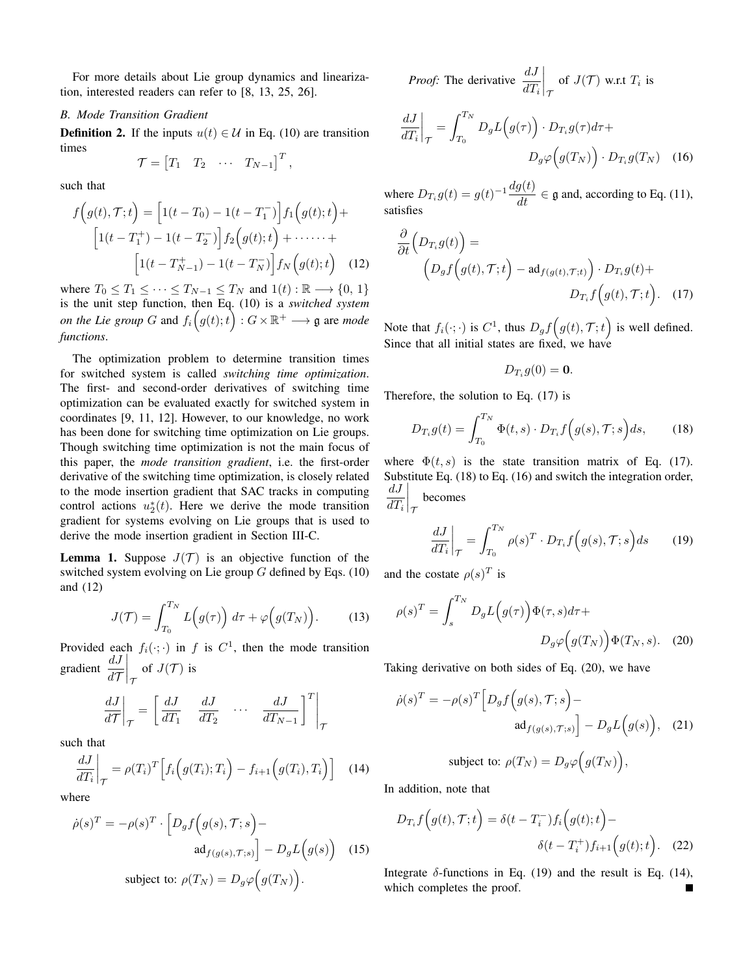For more details about Lie group dynamics and linearization, interested readers can refer to [8, 13, 25, 26].

## *B. Mode Transition Gradient*

**Definition 2.** If the inputs  $u(t) \in \mathcal{U}$  in Eq. (10) are transition times

$$
\mathcal{T} = \begin{bmatrix} T_1 & T_2 & \cdots & T_{N-1} \end{bmatrix}^T,
$$

such that

$$
f(g(t), \mathcal{T}; t) = \left[1(t - T_0) - 1(t - T_1^-)\right] f_1(g(t); t) +
$$

$$
\left[1(t - T_1^+) - 1(t - T_2^-)\right] f_2(g(t); t) + \cdots +
$$

$$
\left[1(t - T_{N-1}^+) - 1(t - T_N^-)\right] f_N(g(t); t) \quad (12)
$$

where  $T_0 \leq T_1 \leq \cdots \leq T_{N-1} \leq T_N$  and  $1(t) : \mathbb{R} \longrightarrow \{0, 1\}$ is the unit step function, then Eq. (10) is a *switched system on the Lie group G* and  $f_i(g(t);t) : G \times \mathbb{R}^+ \longrightarrow \mathfrak{g}$  are *mode functions*.

The optimization problem to determine transition times for switched system is called *switching time optimization*. The first- and second-order derivatives of switching time optimization can be evaluated exactly for switched system in coordinates [9, 11, 12]. However, to our knowledge, no work has been done for switching time optimization on Lie groups. Though switching time optimization is not the main focus of this paper, the *mode transition gradient*, i.e. the first-order derivative of the switching time optimization, is closely related to the mode insertion gradient that SAC tracks in computing control actions  $u_2^*(t)$ . Here we derive the mode transition gradient for systems evolving on Lie groups that is used to derive the mode insertion gradient in Section III-C.

**Lemma 1.** Suppose  $J(\mathcal{T})$  is an objective function of the switched system evolving on Lie group  $G$  defined by Eqs. (10) and (12)

$$
J(\mathcal{T}) = \int_{T_0}^{T_N} L\Big(g(\tau)\Big) d\tau + \varphi\Big(g(T_N)\Big). \tag{13}
$$

Provided each  $f_i(\cdot; \cdot)$  in f is  $C^1$ , then the mode transition gradient  $\frac{dJ}{d\mathcal{T}}$  $\Big|_{\tau}$ of  $J(\mathcal{T})$  is

$$
\left. \frac{dJ}{d\mathcal{T}} \right|_{\mathcal{T}} = \left[ \left. \frac{dJ}{dT_1} \quad \frac{dJ}{dT_2} \quad \cdots \quad \frac{dJ}{dT_{N-1}} \right]^T \right|_{\mathcal{T}}
$$

such that

$$
\frac{dJ}{dT_i}\bigg|_{\mathcal{T}} = \rho(T_i)^T \Big[ f_i\Big(g(T_i); T_i\Big) - f_{i+1}\Big(g(T_i), T_i\Big) \Big] \tag{14}
$$

where

$$
\dot{\rho}(s)^T = -\rho(s)^T \cdot \left[ D_g f(g(s), \mathcal{T}; s) - \operatorname{ad}_{f(g(s), \mathcal{T}; s)} \right] - D_g L(g(s)) \quad (15)
$$
\n
$$
\text{subject to: } \rho(T_N) = D_g \varphi(g(T_N)).
$$

*Proof:* The derivative  $\frac{dJ}{dT_i}$  $\Big\vert_{\mathcal{I}}$ of  $J(\mathcal{T})$  w.r.t  $T_i$  is

$$
\left. \frac{dJ}{dT_i} \right|_{\mathcal{T}} = \int_{T_0}^{T_N} D_g L(g(\tau)) \cdot D_{T_i} g(\tau) d\tau + D_g \varphi(g(T_N)) \cdot D_{T_i} g(T_N) \quad (16)
$$

where  $D_{T_i}g(t) = g(t)^{-1}\frac{dg(t)}{dt} \in \mathfrak{g}$  and, according to Eq. (11), satisfies

$$
\frac{\partial}{\partial t} \Big( D_{T_i} g(t) \Big) =
$$
\n
$$
\Big( D_g f \Big( g(t), \mathcal{T}; t \Big) - \mathrm{ad}_{f(g(t), \mathcal{T}; t)} \Big) \cdot D_{T_i} g(t) +
$$
\n
$$
D_{T_i} f \Big( g(t), \mathcal{T}; t \Big). \tag{17}
$$

Note that  $f_i(\cdot; \cdot)$  is  $C^1$ , thus  $D_g f(g(t), \mathcal{T}; t)$  is well defined. Since that all initial states are fixed, we have

$$
D_{T_i}g(0)=\mathbf{0}.
$$

Therefore, the solution to Eq. (17) is

$$
D_{T_i}g(t) = \int_{T_0}^{T_N} \Phi(t, s) \cdot D_{T_i}f(g(s), \mathcal{T}; s)ds, \qquad (18)
$$

where  $\Phi(t, s)$  is the state transition matrix of Eq. (17). Substitute Eq. (18) to Eq. (16) and switch the integration order,  $dJ$  $dT_i$  $\Big|_{\tau}$ becomes

$$
\left. \frac{dJ}{dT_i} \right|_{\mathcal{T}} = \int_{T_0}^{T_N} \rho(s)^T \cdot D_{T_i} f\Big(g(s), \mathcal{T}; s\Big) ds \qquad (19)
$$

and the costate  $\rho(s)^T$  is

$$
\rho(s)^T = \int_s^{T_N} D_g L(g(\tau)) \Phi(\tau, s) d\tau + D_g \varphi(g(T_N)) \Phi(T_N, s). \quad (20)
$$

Taking derivative on both sides of Eq. (20), we have

$$
\dot{\rho}(s)^{T} = -\rho(s)^{T} \Big[ D_{g} f(g(s), \mathcal{T}; s) - \operatorname{ad}_{f(g(s), \mathcal{T}; s)} \Big] - D_{g} L(g(s)), \quad (21)
$$
  
subject to: 
$$
\rho(T_N) = D_{g} \varphi(g(T_N)),
$$

subject to: 
$$
\rho(T_N) = D_g \varphi \Big( g(T_N)
$$

In addition, note that

$$
D_{T_i}f(g(t),\mathcal{T};t) = \delta(t - T_i^-)f_i(g(t);t) - \delta(t - T_i^+)f_{i+1}(g(t);t).
$$
 (22)

Integrate  $\delta$ -functions in Eq. (19) and the result is Eq. (14), which completes the proof.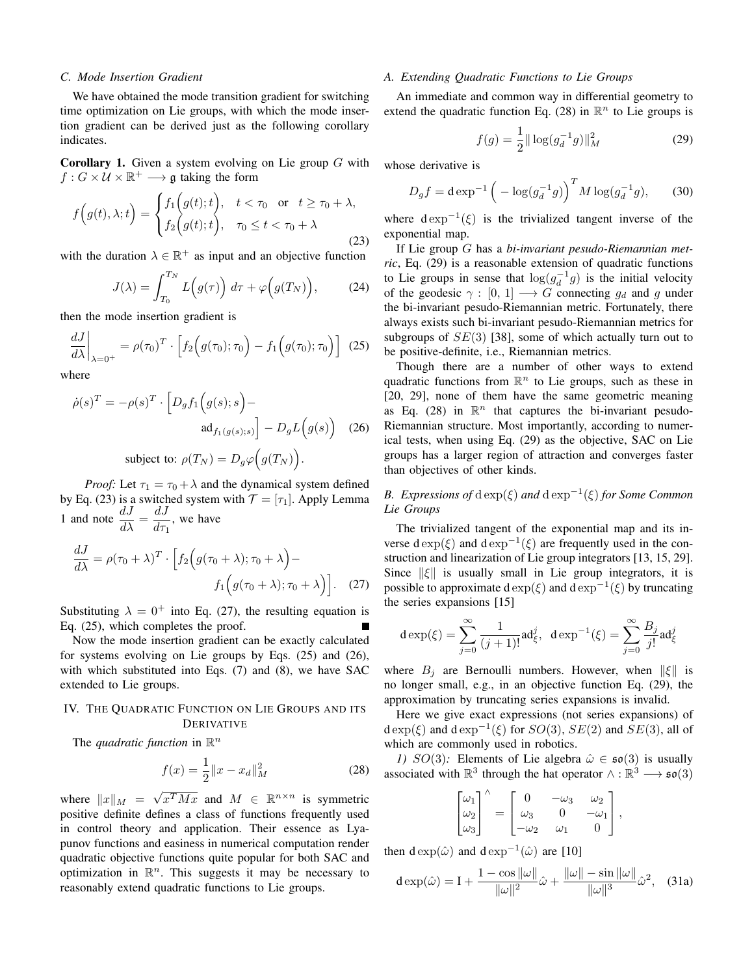### *C. Mode Insertion Gradient*

We have obtained the mode transition gradient for switching time optimization on Lie groups, with which the mode insertion gradient can be derived just as the following corollary indicates.

**Corollary 1.** Given a system evolving on Lie group  $G$  with  $f: G \times U \times \mathbb{R}^+ \longrightarrow \mathfrak{g}$  taking the form

$$
f(g(t), \lambda; t) = \begin{cases} f_1(g(t); t), & t < \tau_0 \text{ or } t \ge \tau_0 + \lambda, \\ f_2(g(t); t), & \tau_0 \le t < \tau_0 + \lambda \end{cases}
$$
(23)

with the duration  $\lambda \in \mathbb{R}^+$  as input and an objective function

$$
J(\lambda) = \int_{T_0}^{T_N} L\Big(g(\tau)\Big) d\tau + \varphi\Big(g(T_N)\Big), \tag{24}
$$

then the mode insertion gradient is

$$
\left. \frac{dJ}{d\lambda} \right|_{\lambda=0^+} = \rho(\tau_0)^T \cdot \left[ f_2\Big(g(\tau_0); \tau_0\Big) - f_1\Big(g(\tau_0); \tau_0\Big) \right] \tag{25}
$$

where

$$
\dot{\rho}(s)^{T} = -\rho(s)^{T} \cdot \left[ D_{g} f_{1} \left( g(s); s \right) - \operatorname{ad}_{f_{1}(g(s); s)} \right] - D_{g} L \left( g(s) \right) \tag{26}
$$

subject to:  $\rho(T_N) = D_g \varphi(g(T_N)).$ 

*Proof:* Let  $\tau_1 = \tau_0 + \lambda$  and the dynamical system defined by Eq. (23) is a switched system with  $\mathcal{T} = [\tau_1]$ . Apply Lemma 1 and note  $\frac{dJ}{d\lambda} = \frac{dJ}{d\tau_1}$  $\frac{d\sigma}{d\tau_1}$ , we have

$$
\frac{dJ}{d\lambda} = \rho(\tau_0 + \lambda)^T \cdot \left[ f_2 \left( g(\tau_0 + \lambda); \tau_0 + \lambda \right) - f_1 \left( g(\tau_0 + \lambda); \tau_0 + \lambda \right) \right].
$$
 (27)

Substituting  $\lambda = 0^+$  into Eq. (27), the resulting equation is Eq. (25), which completes the proof.

Now the mode insertion gradient can be exactly calculated for systems evolving on Lie groups by Eqs. (25) and (26), with which substituted into Eqs. (7) and (8), we have SAC extended to Lie groups.

## IV. THE QUADRATIC FUNCTION ON LIE GROUPS AND ITS DERIVATIVE

The *quadratic function* in  $\mathbb{R}^n$ 

$$
f(x) = \frac{1}{2} \|x - x_d\|_M^2
$$
 (28)

where  $||x||_M$  = √  $x^T M x$  and  $M \in \mathbb{R}^{n \times n}$  is symmetric positive definite defines a class of functions frequently used in control theory and application. Their essence as Lyapunov functions and easiness in numerical computation render quadratic objective functions quite popular for both SAC and optimization in  $\mathbb{R}^n$ . This suggests it may be necessary to reasonably extend quadratic functions to Lie groups.

#### *A. Extending Quadratic Functions to Lie Groups*

An immediate and common way in differential geometry to extend the quadratic function Eq. (28) in  $\mathbb{R}^n$  to Lie groups is

$$
f(g) = \frac{1}{2} \|\log(g_d^{-1}g)\|_M^2
$$
 (29)

whose derivative is

$$
D_g f = d \exp^{-1} \left( -\log(g_d^{-1} g) \right)^T M \log(g_d^{-1} g), \quad (30)
$$

where  $d \exp^{-1}(\xi)$  is the trivialized tangent inverse of the exponential map.

If Lie group G has a *bi-invariant pesudo-Riemannian metric*, Eq. (29) is a reasonable extension of quadratic functions to Lie groups in sense that  $\log(g_d^{-1}g)$  is the initial velocity of the geodesic  $\gamma : [0, 1] \longrightarrow G$  connecting  $g_d$  and g under the bi-invariant pesudo-Riemannian metric. Fortunately, there always exists such bi-invariant pesudo-Riemannian metrics for subgroups of  $SE(3)$  [38], some of which actually turn out to be positive-definite, i.e., Riemannian metrics.

Though there are a number of other ways to extend quadratic functions from  $\mathbb{R}^n$  to Lie groups, such as these in [20, 29], none of them have the same geometric meaning as Eq. (28) in  $\mathbb{R}^n$  that captures the bi-invariant pesudo-Riemannian structure. Most importantly, according to numerical tests, when using Eq. (29) as the objective, SAC on Lie groups has a larger region of attraction and converges faster than objectives of other kinds.

# *B.* Expressions of  $d exp(\xi)$  and  $d exp^{-1}(\xi)$  for Some Common *Lie Groups*

The trivialized tangent of the exponential map and its inverse  $\text{d} \exp(\xi)$  and  $\text{d} \exp^{-1}(\xi)$  are frequently used in the construction and linearization of Lie group integrators [13, 15, 29]. Since  $\|\xi\|$  is usually small in Lie group integrators, it is possible to approximate d  $\exp(\xi)$  and d  $\exp^{-1}(\xi)$  by truncating the series expansions [15]

$$
d \exp(\xi) = \sum_{j=0}^{\infty} \frac{1}{(j+1)!} ad_{\xi}^{j}, \ d \exp^{-1}(\xi) = \sum_{j=0}^{\infty} \frac{B_{j}}{j!} ad_{\xi}^{j}
$$

where  $B_i$  are Bernoulli numbers. However, when  $\|\xi\|$  is no longer small, e.g., in an objective function Eq. (29), the approximation by truncating series expansions is invalid.

Here we give exact expressions (not series expansions) of  $d \exp(\xi)$  and  $d \exp^{-1}(\xi)$  for  $SO(3)$ ,  $SE(2)$  and  $SE(3)$ , all of which are commonly used in robotics.

*1)* SO(3): Elements of Lie algebra  $\hat{\omega} \in \mathfrak{so}(3)$  is usually associated with  $\mathbb{R}^3$  through the hat operator  $\wedge$  :  $\mathbb{R}^3 \longrightarrow$   $\mathfrak{so}(3)$ 

$$
\begin{bmatrix} \omega_1 \\ \omega_2 \\ \omega_3 \end{bmatrix}^\wedge = \begin{bmatrix} 0 & -\omega_3 & \omega_2 \\ \omega_3 & 0 & -\omega_1 \\ -\omega_2 & \omega_1 & 0 \end{bmatrix},
$$

then  $d \exp(\hat{\omega})$  and  $d \exp^{-1}(\hat{\omega})$  are [10]

$$
d \exp(\hat{\omega}) = I + \frac{1 - \cos \|\omega\|}{\|\omega\|^2} \hat{\omega} + \frac{\|\omega\| - \sin \|\omega\|}{\|\omega\|^3} \hat{\omega}^2, \quad (31a)
$$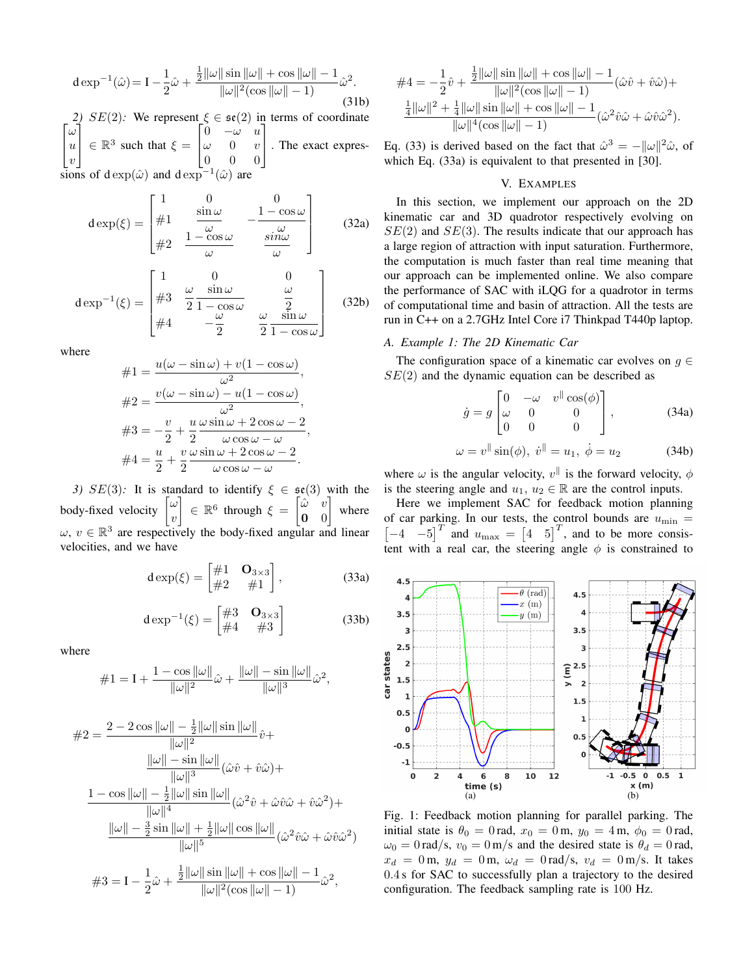$$
d \exp^{-1}(\hat{\omega}) = I - \frac{1}{2}\hat{\omega} + \frac{\frac{1}{2}||\omega||\sin||\omega|| + \cos||\omega|| - 1}{||\omega||^2(\cos||\omega|| - 1)}\hat{\omega}^2.
$$
\n(31b)

 $\lceil \omega$ *2)*  $SE(2)$ : We represent  $\xi \in \mathfrak{se}(2)$  in terms of coordinate  $\overline{1}$ u  $\upsilon$ 1  $\Big| \in \mathbb{R}^3$  such that  $\xi =$  $\lceil$  $\overline{1}$  $0 -\omega u$  $\omega = 0$  v 0 0 0 1 . The exact expressions of d exp $(\hat{\omega})$  and d exp<sup>-1</sup> $(\hat{\omega})$  are

$$
d \exp(\xi) = \begin{bmatrix} 1 & 0 & 0 \\ \#1 & \frac{\sin \omega}{\omega} & -\frac{1 - \cos \omega}{\omega} \\ \#2 & \frac{1 - \cos \omega}{\omega} & \frac{\sin \omega}{\omega} \end{bmatrix}
$$
(32a)

$$
d \exp^{-1}(\xi) = \begin{bmatrix} 1 & 0 & 0 \\ \#3 & \frac{\omega}{2} \frac{\sin \omega}{1 - \cos \omega} & \frac{\omega}{2} \\ \#4 & -\frac{\omega}{2} & \frac{\omega}{2} \frac{\sin \omega}{1 - \cos \omega} \end{bmatrix}
$$
(32b)

where

$$
\#1 = \frac{u(\omega - \sin \omega) + v(1 - \cos \omega)}{\omega^2},
$$

$$
\#2 = \frac{v(\omega - \sin \omega) - u(1 - \cos \omega)}{\omega^2},
$$

$$
\#3 = -\frac{v}{2} + \frac{u}{2} \frac{\omega \sin \omega + 2\cos \omega - 2}{\omega \cos \omega - \omega},
$$

$$
\#4 = \frac{u}{2} + \frac{v}{2} \frac{\omega \sin \omega + 2\cos \omega - 2}{\omega \cos \omega - \omega}.
$$

*3)* SE(3): It is standard to identify  $\xi \in \mathfrak{se}(3)$  with the body-fixed velocity ω  $\overline{v}$ 1  $\in \mathbb{R}^6$  through  $\xi =$  $\lceil \hat{\omega} \rceil v$ 0 0 1 where  $\omega, v \in \mathbb{R}^3$  are respectively the body-fixed angular and linear velocities, and we have

$$
\mathbf{d}\exp(\xi) = \begin{bmatrix} \#1 & \mathbf{O}_{3\times 3} \\ \#2 & \#1 \end{bmatrix},\tag{33a}
$$

$$
\operatorname{d}\exp^{-1}(\xi) = \begin{bmatrix} \#3 & \mathbf{O}_{3\times 3} \\ \#4 & \#3 \end{bmatrix}
$$
 (33b)

where

$$
\#1 = I + \frac{1 - \cos \|\omega\|}{\|\omega\|^2} \hat{\omega} + \frac{\|\omega\| - \sin \|\omega\|}{\|\omega\|^3} \hat{\omega}^2,
$$

$$
\#2 = \frac{2 - 2\cos\|\omega\| - \frac{1}{2}\|\omega\|\sin\|\omega\|}{\|\omega\|^2}\hat{v} +
$$
  

$$
\frac{\|\omega\| - \sin\|\omega\|}{\|\omega\|^3}(\hat{\omega}\hat{v} + \hat{v}\hat{\omega}) +
$$
  

$$
\frac{1 - \cos\|\omega\| - \frac{1}{2}\|\omega\|\sin\|\omega\|}{\|\omega\|^4}(\hat{\omega}^2\hat{v} + \hat{\omega}\hat{v}\hat{\omega} + \hat{v}\hat{\omega}^2) +
$$
  

$$
\frac{\|\omega\| - \frac{3}{2}\sin\|\omega\| + \frac{1}{2}\|\omega\|\cos\|\omega\|}{\|\omega\|^5}(\hat{\omega}^2\hat{v}\hat{\omega} + \hat{\omega}\hat{v}\hat{\omega}^2)
$$
  

$$
\#3 = I - \frac{1}{2}\hat{\omega} + \frac{\frac{1}{2}\|\omega\|\sin\|\omega\| + \cos\|\omega\| - 1}{\|\omega\|^2(\cos\|\omega\| - 1)}\hat{\omega}^2,
$$

$$
\#4 = -\frac{1}{2}\hat{v} + \frac{\frac{1}{2}||\omega||\sin||\omega|| + \cos||\omega|| - 1}{||\omega||^2(\cos||\omega|| - 1)}(\hat{\omega}\hat{v} + \hat{v}\hat{\omega}) + \frac{\frac{1}{4}||\omega||^2 + \frac{1}{4}||\omega||\sin||\omega|| + \cos||\omega|| - 1}{||\omega||^4(\cos||\omega|| - 1)}(\hat{\omega}^2\hat{v}\hat{\omega} + \hat{\omega}\hat{v}\hat{\omega}^2).
$$

Eq. (33) is derived based on the fact that  $\hat{\omega}^3 = -\|\omega\|^2 \hat{\omega}$ , of which Eq. (33a) is equivalent to that presented in [30].

## V. EXAMPLES

In this section, we implement our approach on the 2D kinematic car and 3D quadrotor respectively evolving on  $SE(2)$  and  $SE(3)$ . The results indicate that our approach has a large region of attraction with input saturation. Furthermore, the computation is much faster than real time meaning that our approach can be implemented online. We also compare the performance of SAC with iLQG for a quadrotor in terms of computational time and basin of attraction. All the tests are run in C++ on a 2.7GHz Intel Core i7 Thinkpad T440p laptop.

## *A. Example 1: The 2D Kinematic Car*

The configuration space of a kinematic car evolves on  $q \in$  $SE(2)$  and the dynamic equation can be described as

$$
\dot{g} = g \begin{bmatrix} 0 & -\omega & v^{\parallel} \cos(\phi) \\ \omega & 0 & 0 \\ 0 & 0 & 0 \end{bmatrix}, \quad (34a)
$$

$$
\omega = v^{\parallel} \sin(\phi), \; \dot{v}^{\parallel} = u_1, \; \dot{\phi} = u_2 \tag{34b}
$$

where  $\omega$  is the angular velocity,  $v^{\parallel}$  is the forward velocity,  $\phi$ is the steering angle and  $u_1, u_2 \in \mathbb{R}$  are the control inputs.

Here we implement SAC for feedback motion planning of car parking. In our tests, the control bounds are  $u_{\text{min}} =$  $\begin{bmatrix} -4 & -5 \end{bmatrix}^T$  and  $u_{\text{max}} = \begin{bmatrix} 4 & 5 \end{bmatrix}^T$ , and to be more consistent with a real car, the steering angle  $\phi$  is constrained to



Fig. 1: Feedback motion planning for parallel parking. The initial state is  $\theta_0 = 0$  rad,  $x_0 = 0$  m,  $y_0 = 4$  m,  $\phi_0 = 0$  rad,  $\omega_0 = 0$  rad/s,  $v_0 = 0$  m/s and the desired state is  $\theta_d = 0$  rad,  $x_d = 0$  m,  $y_d = 0$  m,  $\omega_d = 0$  rad/s,  $v_d = 0$  m/s. It takes 0.4 s for SAC to successfully plan a trajectory to the desired configuration. The feedback sampling rate is 100 Hz.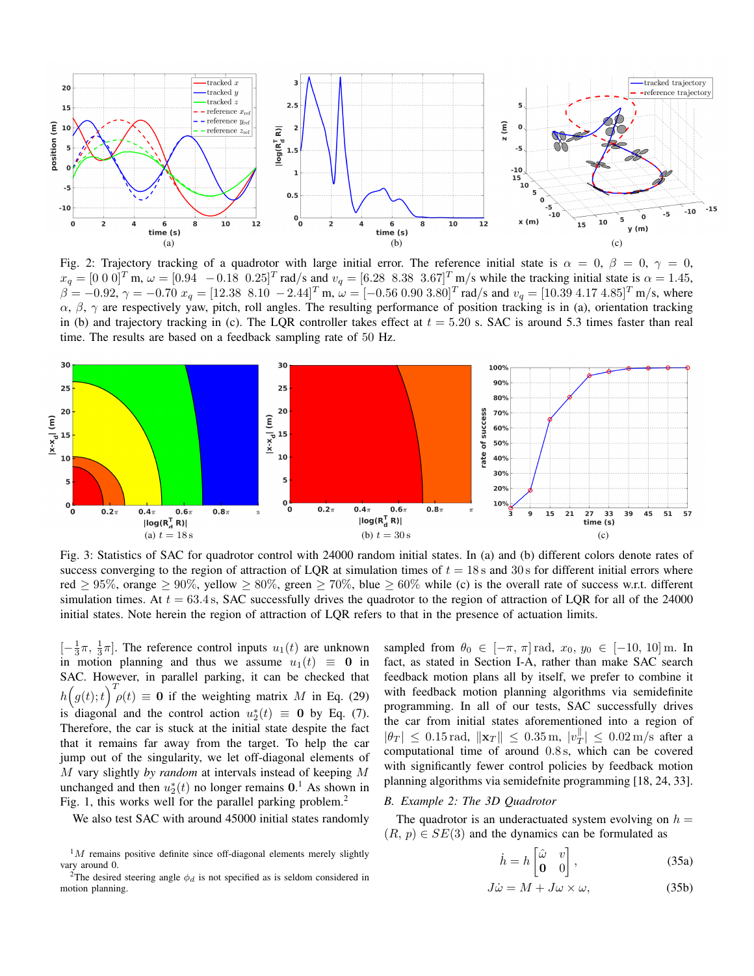

Fig. 2: Trajectory tracking of a quadrotor with large initial error. The reference initial state is  $\alpha = 0$ ,  $\beta = 0$ ,  $\gamma = 0$ ,  $x_q = [0\ 0\ 0]^T$  m,  $\omega = [0.94\ -0.18\ 0.25]^T$  rad/s and  $v_q = [6.28\ 8.38\ 3.67]^T$  m/s while the tracking initial state is  $\alpha = 1.45$ ,  $\beta = -0.92, \, \gamma = -0.70 \, x_q = [12.38 \, 8.10 \, -2.44]^T$  m,  $\omega = [-0.56 \, 0.90 \, 3.80]^T$  rad/s and  $v_q = [10.39 \, 4.17 \, 4.85]^T$  m/s, where  $\alpha$ ,  $\beta$ ,  $\gamma$  are respectively yaw, pitch, roll angles. The resulting performance of position tracking is in (a), orientation tracking in (b) and trajectory tracking in (c). The LQR controller takes effect at  $t = 5.20$  s. SAC is around 5.3 times faster than real time. The results are based on a feedback sampling rate of 50 Hz.



Fig. 3: Statistics of SAC for quadrotor control with 24000 random initial states. In (a) and (b) different colors denote rates of success converging to the region of attraction of LQR at simulation times of  $t = 18$  s and 30 s for different initial errors where red  $> 95\%$ , orange  $> 90\%$ , yellow  $> 80\%$ , green  $> 70\%$ , blue  $> 60\%$  while (c) is the overall rate of success w.r.t. different simulation times. At  $t = 63.4$  s, SAC successfully drives the quadrotor to the region of attraction of LQR for all of the 24000 initial states. Note herein the region of attraction of LQR refers to that in the presence of actuation limits.

 $[-\frac{1}{3}\pi, \frac{1}{3}\pi]$ . The reference control inputs  $u_1(t)$  are unknown in motion planning and thus we assume  $u_1(t) \equiv 0$  in SAC. However, in parallel parking, it can be checked that  $h(g(t);t)^T \rho(t) \equiv 0$  if the weighting matrix M in Eq. (29) is diagonal and the control action  $u_2^*(t) \equiv 0$  by Eq. (7). Therefore, the car is stuck at the initial state despite the fact that it remains far away from the target. To help the car jump out of the singularity, we let off-diagonal elements of M vary slightly *by random* at intervals instead of keeping M unchanged and then  $u_2^*(t)$  no longer remains  $0.1$  As shown in Fig. 1, this works well for the parallel parking problem.<sup>2</sup>

We also test SAC with around 45000 initial states randomly

sampled from  $\theta_0 \in [-\pi, \pi] \text{ rad}, x_0, y_0 \in [-10, 10] \text{ m}.$  In fact, as stated in Section I-A, rather than make SAC search feedback motion plans all by itself, we prefer to combine it with feedback motion planning algorithms via semidefinite programming. In all of our tests, SAC successfully drives the car from initial states aforementioned into a region of  $|\theta_T| \leq 0.15 \,\text{rad}, \, \|\mathbf{x}_T\| \leq 0.35 \,\text{m}, \, |\mathbf{v}_T^{\parallel}|$  $T_{\text{T}}$  |  $\leq 0.02 \text{ m/s}$  after a computational time of around 0.8 s, which can be covered with significantly fewer control policies by feedback motion planning algorithms via semidefnite programming [18, 24, 33].

## *B. Example 2: The 3D Quadrotor*

The quadrotor is an underactuated system evolving on  $h =$  $(R, p) \in SE(3)$  and the dynamics can be formulated as

$$
\dot{h} = h \begin{bmatrix} \hat{\omega} & v \\ \mathbf{0} & 0 \end{bmatrix}, \tag{35a}
$$

$$
J\dot{\omega} = M + J\omega \times \omega, \tag{35b}
$$

 $1M$  remains positive definite since off-diagonal elements merely slightly vary around 0.

<sup>&</sup>lt;sup>2</sup>The desired steering angle  $\phi_d$  is not specified as is seldom considered in motion planning.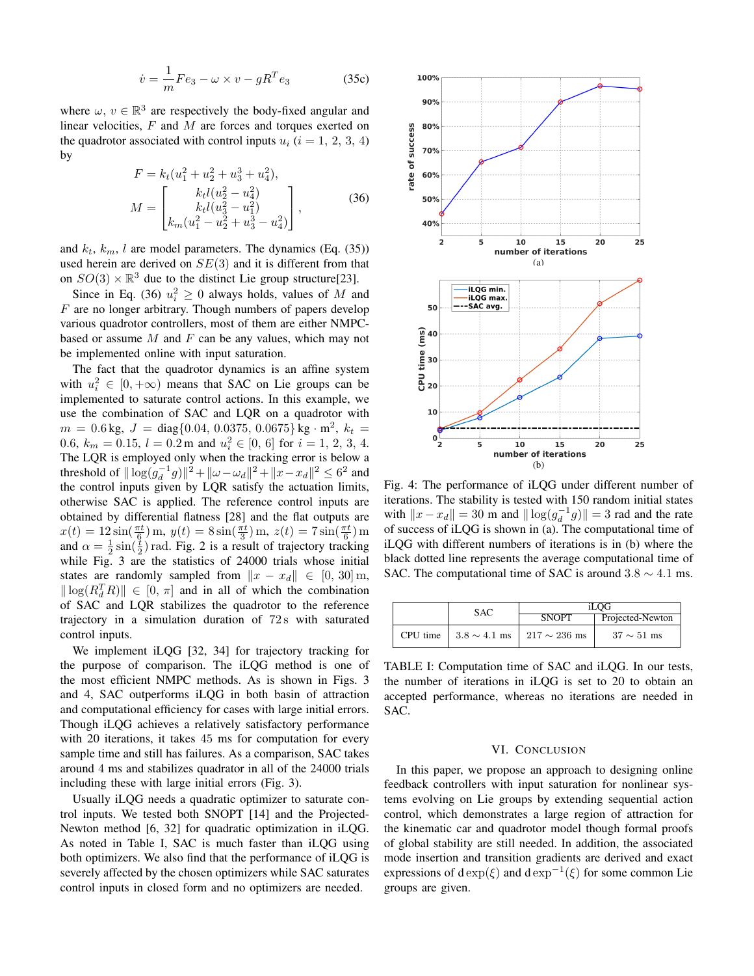$$
\dot{v} = \frac{1}{m} F e_3 - \omega \times v - g R^T e_3 \tag{35c}
$$

where  $\omega, v \in \mathbb{R}^3$  are respectively the body-fixed angular and linear velocities,  $F$  and  $M$  are forces and torques exerted on the quadrotor associated with control inputs  $u_i$  ( $i = 1, 2, 3, 4$ ) by

$$
F = k_t (u_1^2 + u_2^2 + u_3^3 + u_4^2),
$$
  
\n
$$
M = \begin{bmatrix} k_t l (u_2^2 - u_4^2) \\ k_t l (u_3^2 - u_1^2) \\ k_m (u_1^2 - u_2^2 + u_3^3 - u_4^2) \end{bmatrix},
$$
\n(36)

and  $k_t$ ,  $k_m$ , l are model parameters. The dynamics (Eq. (35)) used herein are derived on  $SE(3)$  and it is different from that on  $SO(3) \times \mathbb{R}^3$  due to the distinct Lie group structure[23].

Since in Eq. (36)  $u_i^2 \ge 0$  always holds, values of M and  $F$  are no longer arbitrary. Though numbers of papers develop various quadrotor controllers, most of them are either NMPCbased or assume  $M$  and  $F$  can be any values, which may not be implemented online with input saturation.

The fact that the quadrotor dynamics is an affine system with  $u_i^2 \in [0, +\infty)$  means that SAC on Lie groups can be implemented to saturate control actions. In this example, we use the combination of SAC and LQR on a quadrotor with  $m = 0.6$  kg,  $J = diag{0.04, 0.0375, 0.0675}$  kg  $\cdot$  m<sup>2</sup>,  $k_t =$ 0.6,  $k_m = 0.15$ ,  $l = 0.2$  m and  $u_i^2 \in [0, 6]$  for  $i = 1, 2, 3, 4$ . The LQR is employed only when the tracking error is below a threshold of  $\|\log(g_d^{-1}g)\|^2 + \|\omega - \omega_d\|^2 + \|x - x_d\|^2 \leq 6^2$  and the control inputs given by LQR satisfy the actuation limits, otherwise SAC is applied. The reference control inputs are obtained by differential flatness [28] and the flat outputs are  $x(t) = 12 \sin(\frac{\pi t}{6}) \,\mathrm{m}, \, y(t) = 8 \sin(\frac{\pi t}{3}) \,\mathrm{m}, \, z(t) = 7 \sin(\frac{\pi t}{6}) \,\mathrm{m}$ and  $\alpha = \frac{1}{2} \sin(\frac{t}{2})$  rad. Fig. 2 is a result of trajectory tracking while Fig. 3 are the statistics of 24000 trials whose initial states are randomly sampled from  $\|x - x_d\| \in [0, 30]$  m,  $\|\log(R_d^TR)\| \in [0, \pi]$  and in all of which the combination of SAC and LQR stabilizes the quadrotor to the reference trajectory in a simulation duration of  $72 s$  with saturated control inputs.

We implement iLQG [32, 34] for trajectory tracking for the purpose of comparison. The iLQG method is one of the most efficient NMPC methods. As is shown in Figs. 3 and 4, SAC outperforms iLQG in both basin of attraction and computational efficiency for cases with large initial errors. Though iLQG achieves a relatively satisfactory performance with 20 iterations, it takes 45 ms for computation for every sample time and still has failures. As a comparison, SAC takes around 4 ms and stabilizes quadrator in all of the 24000 trials including these with large initial errors (Fig. 3).

Usually iLQG needs a quadratic optimizer to saturate control inputs. We tested both SNOPT [14] and the Projected-Newton method [6, 32] for quadratic optimization in iLQG. As noted in Table I, SAC is much faster than iLQG using both optimizers. We also find that the performance of iLQG is severely affected by the chosen optimizers while SAC saturates control inputs in closed form and no optimizers are needed.



Fig. 4: The performance of iLQG under different number of iterations. The stability is tested with 150 random initial states with  $||x - x_d|| = 30$  m and  $||\log(g_d^{-1}g)|| = 3$  rad and the rate of success of iLQG is shown in (a). The computational time of iLQG with different numbers of iterations is in (b) where the black dotted line represents the average computational time of SAC. The computational time of SAC is around  $3.8 \sim 4.1$  ms.

|  | SAC                                              | iLOG         |                  |
|--|--------------------------------------------------|--------------|------------------|
|  |                                                  | <b>SNOPT</b> | Projected-Newton |
|  | CPU time $  3.8 \sim 4.1$ ms $  217 \sim 236$ ms |              | $37 \sim 51$ ms  |

TABLE I: Computation time of SAC and iLQG. In our tests, the number of iterations in iLQG is set to 20 to obtain an accepted performance, whereas no iterations are needed in SAC.

## VI. CONCLUSION

In this paper, we propose an approach to designing online feedback controllers with input saturation for nonlinear systems evolving on Lie groups by extending sequential action control, which demonstrates a large region of attraction for the kinematic car and quadrotor model though formal proofs of global stability are still needed. In addition, the associated mode insertion and transition gradients are derived and exact expressions of d exp( $\xi$ ) and d exp<sup>-1</sup>( $\xi$ ) for some common Lie groups are given.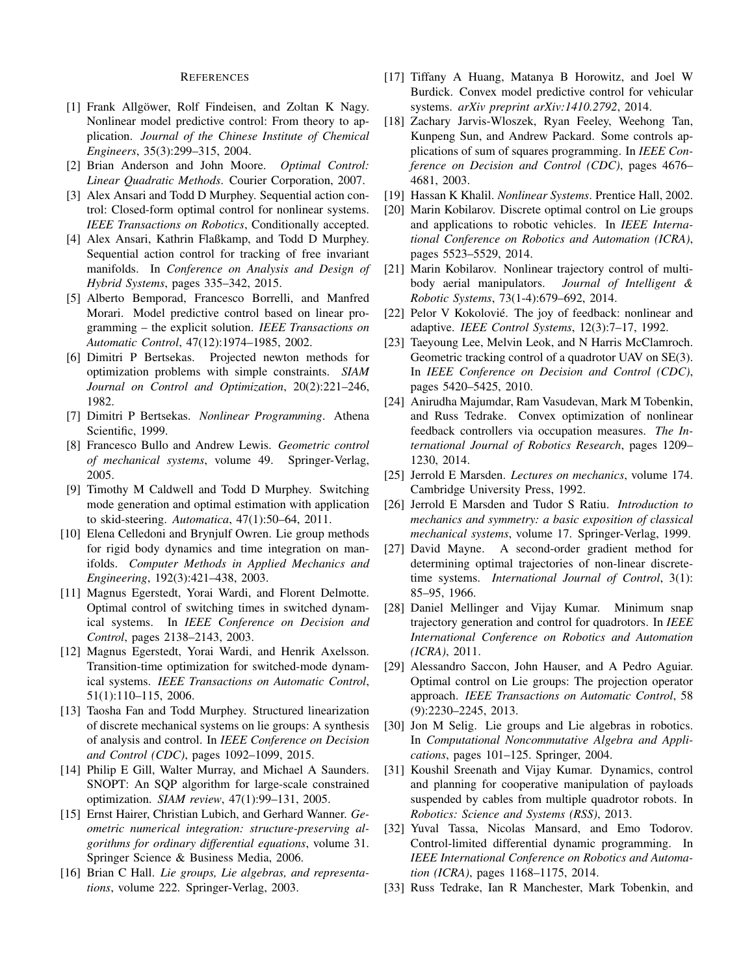### REFERENCES

- [1] Frank Allgöwer, Rolf Findeisen, and Zoltan K Nagy. Nonlinear model predictive control: From theory to application. *Journal of the Chinese Institute of Chemical Engineers*, 35(3):299–315, 2004.
- [2] Brian Anderson and John Moore. *Optimal Control: Linear Quadratic Methods*. Courier Corporation, 2007.
- [3] Alex Ansari and Todd D Murphey. Sequential action control: Closed-form optimal control for nonlinear systems. *IEEE Transactions on Robotics*, Conditionally accepted.
- [4] Alex Ansari, Kathrin Flaßkamp, and Todd D Murphey. Sequential action control for tracking of free invariant manifolds. In *Conference on Analysis and Design of Hybrid Systems*, pages 335–342, 2015.
- [5] Alberto Bemporad, Francesco Borrelli, and Manfred Morari. Model predictive control based on linear programming – the explicit solution. *IEEE Transactions on Automatic Control*, 47(12):1974–1985, 2002.
- [6] Dimitri P Bertsekas. Projected newton methods for optimization problems with simple constraints. *SIAM Journal on Control and Optimization*, 20(2):221–246, 1982.
- [7] Dimitri P Bertsekas. *Nonlinear Programming*. Athena Scientific, 1999.
- [8] Francesco Bullo and Andrew Lewis. *Geometric control of mechanical systems*, volume 49. Springer-Verlag, 2005.
- [9] Timothy M Caldwell and Todd D Murphey. Switching mode generation and optimal estimation with application to skid-steering. *Automatica*, 47(1):50–64, 2011.
- [10] Elena Celledoni and Brynjulf Owren. Lie group methods for rigid body dynamics and time integration on manifolds. *Computer Methods in Applied Mechanics and Engineering*, 192(3):421–438, 2003.
- [11] Magnus Egerstedt, Yorai Wardi, and Florent Delmotte. Optimal control of switching times in switched dynamical systems. In *IEEE Conference on Decision and Control*, pages 2138–2143, 2003.
- [12] Magnus Egerstedt, Yorai Wardi, and Henrik Axelsson. Transition-time optimization for switched-mode dynamical systems. *IEEE Transactions on Automatic Control*, 51(1):110–115, 2006.
- [13] Taosha Fan and Todd Murphey. Structured linearization of discrete mechanical systems on lie groups: A synthesis of analysis and control. In *IEEE Conference on Decision and Control (CDC)*, pages 1092–1099, 2015.
- [14] Philip E Gill, Walter Murray, and Michael A Saunders. SNOPT: An SQP algorithm for large-scale constrained optimization. *SIAM review*, 47(1):99–131, 2005.
- [15] Ernst Hairer, Christian Lubich, and Gerhard Wanner. *Geometric numerical integration: structure-preserving algorithms for ordinary differential equations*, volume 31. Springer Science & Business Media, 2006.
- [16] Brian C Hall. *Lie groups, Lie algebras, and representations*, volume 222. Springer-Verlag, 2003.
- [17] Tiffany A Huang, Matanya B Horowitz, and Joel W Burdick. Convex model predictive control for vehicular systems. *arXiv preprint arXiv:1410.2792*, 2014.
- [18] Zachary Jarvis-Wloszek, Ryan Feeley, Weehong Tan, Kunpeng Sun, and Andrew Packard. Some controls applications of sum of squares programming. In *IEEE Conference on Decision and Control (CDC)*, pages 4676– 4681, 2003.
- [19] Hassan K Khalil. *Nonlinear Systems*. Prentice Hall, 2002.
- [20] Marin Kobilarov. Discrete optimal control on Lie groups and applications to robotic vehicles. In *IEEE International Conference on Robotics and Automation (ICRA)*, pages 5523–5529, 2014.
- [21] Marin Kobilarov. Nonlinear trajectory control of multibody aerial manipulators. *Journal of Intelligent & Robotic Systems*, 73(1-4):679–692, 2014.
- [22] Pelor V Kokolovié. The joy of feedback: nonlinear and adaptive. *IEEE Control Systems*, 12(3):7–17, 1992.
- [23] Taeyoung Lee, Melvin Leok, and N Harris McClamroch. Geometric tracking control of a quadrotor UAV on SE(3). In *IEEE Conference on Decision and Control (CDC)*, pages 5420–5425, 2010.
- [24] Anirudha Majumdar, Ram Vasudevan, Mark M Tobenkin, and Russ Tedrake. Convex optimization of nonlinear feedback controllers via occupation measures. *The International Journal of Robotics Research*, pages 1209– 1230, 2014.
- [25] Jerrold E Marsden. *Lectures on mechanics*, volume 174. Cambridge University Press, 1992.
- [26] Jerrold E Marsden and Tudor S Ratiu. *Introduction to mechanics and symmetry: a basic exposition of classical mechanical systems*, volume 17. Springer-Verlag, 1999.
- [27] David Mayne. A second-order gradient method for determining optimal trajectories of non-linear discretetime systems. *International Journal of Control*, 3(1): 85–95, 1966.
- [28] Daniel Mellinger and Vijay Kumar. Minimum snap trajectory generation and control for quadrotors. In *IEEE International Conference on Robotics and Automation (ICRA)*, 2011.
- [29] Alessandro Saccon, John Hauser, and A Pedro Aguiar. Optimal control on Lie groups: The projection operator approach. *IEEE Transactions on Automatic Control*, 58 (9):2230–2245, 2013.
- [30] Jon M Selig. Lie groups and Lie algebras in robotics. In *Computational Noncommutative Algebra and Applications*, pages 101–125. Springer, 2004.
- [31] Koushil Sreenath and Vijay Kumar. Dynamics, control and planning for cooperative manipulation of payloads suspended by cables from multiple quadrotor robots. In *Robotics: Science and Systems (RSS)*, 2013.
- [32] Yuval Tassa, Nicolas Mansard, and Emo Todorov. Control-limited differential dynamic programming. In *IEEE International Conference on Robotics and Automation (ICRA)*, pages 1168–1175, 2014.
- [33] Russ Tedrake, Ian R Manchester, Mark Tobenkin, and